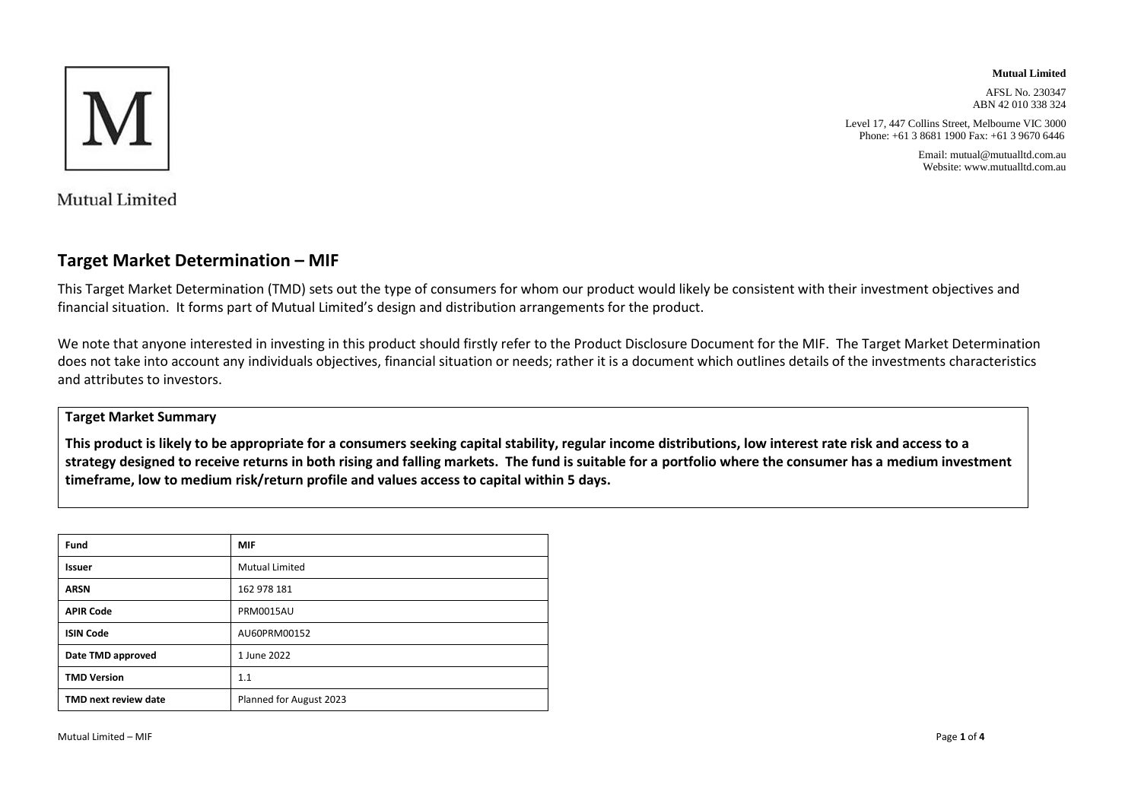

**Mutual Limited**

AFSL No. 230347 ABN 42 010 338 324

Level 17, 447 Collins Street, Melbourne VIC 3000 Phone: +61 3 8681 1900 Fax: +61 3 9670 6446

> Email: mutual@mutualltd.com.au Website: www.mutualltd.com.au

Mutual Limited

### **Target Market Determination – MIF**

This Target Market Determination (TMD) sets out the type of consumers for whom our product would likely be consistent with their investment objectives and financial situation. It forms part of Mutual Limited's design and distribution arrangements for the product.

We note that anyone interested in investing in this product should firstly refer to the Product Disclosure Document for the MIF. The Target Market Determination does not take into account any individuals objectives, financial situation or needs; rather it is a document which outlines details of the investments characteristics and attributes to investors.

### **Target Market Summary**

**This product is likely to be appropriate for a consumers seeking capital stability, regular income distributions, low interest rate risk and access to a strategy designed to receive returns in both rising and falling markets. The fund is suitable for a portfolio where the consumer has a medium investment timeframe, low to medium risk/return profile and values access to capital within 5 days.**

| Fund                 | <b>MIF</b>              |
|----------------------|-------------------------|
| <b>Issuer</b>        | <b>Mutual Limited</b>   |
| <b>ARSN</b>          | 162 978 181             |
| <b>APIR Code</b>     | <b>PRM0015AU</b>        |
| <b>ISIN Code</b>     | AU60PRM00152            |
| Date TMD approved    | 1 June 2022             |
| <b>TMD Version</b>   | 1.1                     |
| TMD next review date | Planned for August 2023 |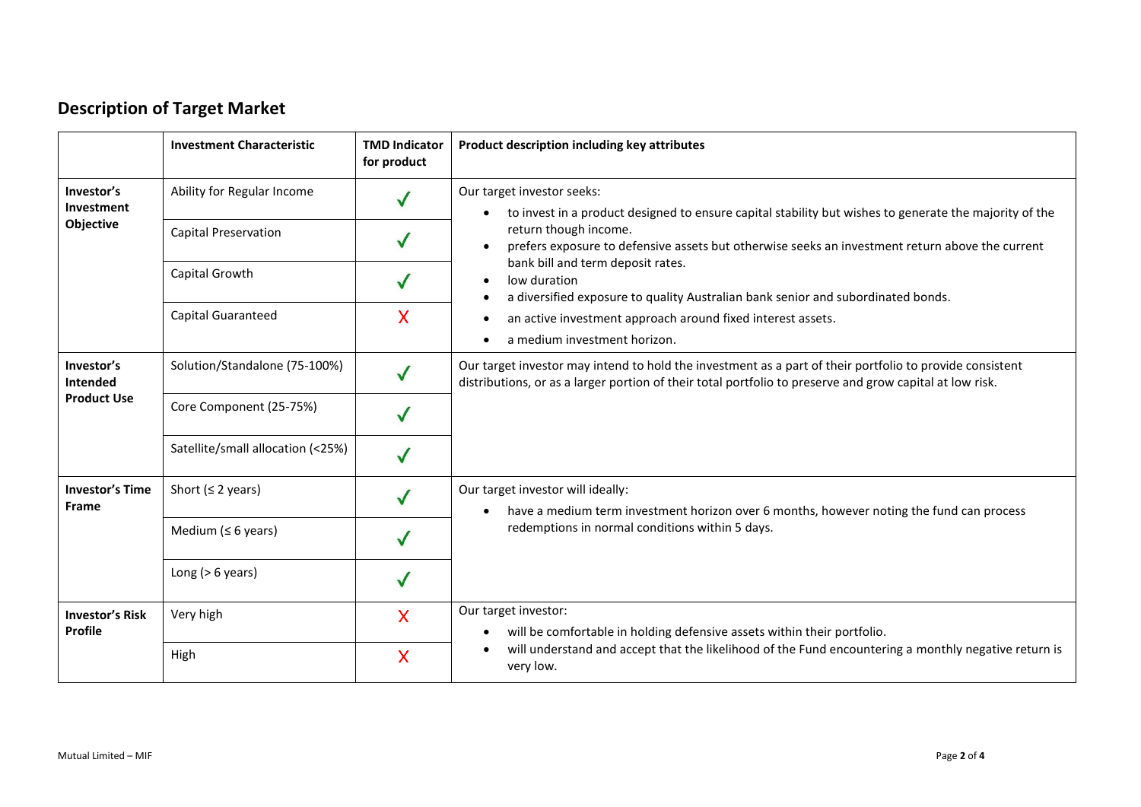# **Description of Target Market**

|                                                     | <b>Investment Characteristic</b>  | <b>TMD Indicator</b><br>for product | Product description including key attributes                                                                                                                                                                         |
|-----------------------------------------------------|-----------------------------------|-------------------------------------|----------------------------------------------------------------------------------------------------------------------------------------------------------------------------------------------------------------------|
| Investor's<br>Investment<br>Objective               | Ability for Regular Income        |                                     | Our target investor seeks:<br>to invest in a product designed to ensure capital stability but wishes to generate the majority of the<br>$\bullet$                                                                    |
|                                                     | <b>Capital Preservation</b>       |                                     | return though income.<br>prefers exposure to defensive assets but otherwise seeks an investment return above the current<br>$\bullet$                                                                                |
|                                                     | Capital Growth                    | $\checkmark$                        | bank bill and term deposit rates.<br>low duration<br>$\bullet$<br>a diversified exposure to quality Australian bank senior and subordinated bonds.<br>$\bullet$                                                      |
|                                                     | Capital Guaranteed                | X                                   | an active investment approach around fixed interest assets.<br>$\bullet$<br>a medium investment horizon.<br>$\bullet$                                                                                                |
| Investor's<br><b>Intended</b><br><b>Product Use</b> | Solution/Standalone (75-100%)     |                                     | Our target investor may intend to hold the investment as a part of their portfolio to provide consistent<br>distributions, or as a larger portion of their total portfolio to preserve and grow capital at low risk. |
|                                                     | Core Component (25-75%)           |                                     |                                                                                                                                                                                                                      |
|                                                     | Satellite/small allocation (<25%) |                                     |                                                                                                                                                                                                                      |
| <b>Investor's Time</b><br><b>Frame</b>              | Short ( $\leq$ 2 years)           |                                     | Our target investor will ideally:<br>have a medium term investment horizon over 6 months, however noting the fund can process<br>$\bullet$                                                                           |
|                                                     | Medium ( $\leq 6$ years)          |                                     | redemptions in normal conditions within 5 days.                                                                                                                                                                      |
|                                                     | Long ( $> 6$ years)               |                                     |                                                                                                                                                                                                                      |
| <b>Investor's Risk</b><br>Profile                   | Very high                         | X                                   | Our target investor:<br>will be comfortable in holding defensive assets within their portfolio.<br>$\bullet$                                                                                                         |
|                                                     | High                              | X                                   | will understand and accept that the likelihood of the Fund encountering a monthly negative return is<br>very low.                                                                                                    |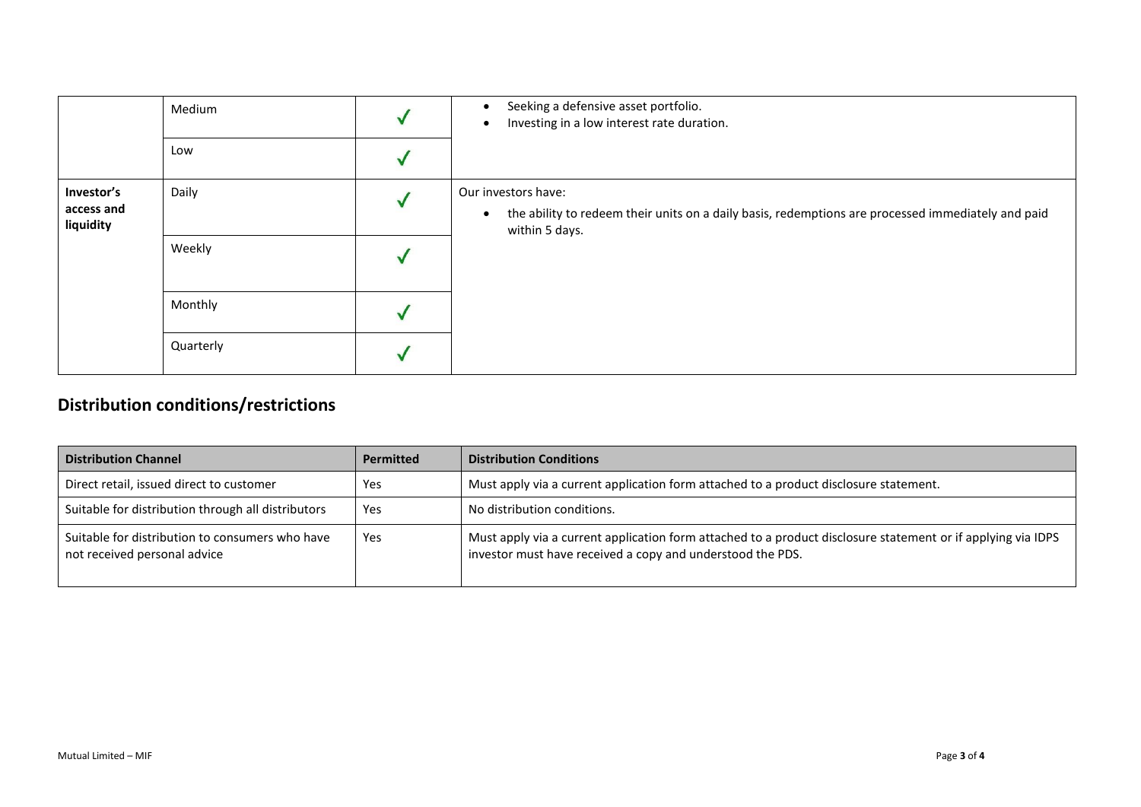|                         | Medium    | Seeking a defensive asset portfolio.<br>$\bullet$<br>Investing in a low interest rate duration.<br>$\bullet$                      |
|-------------------------|-----------|-----------------------------------------------------------------------------------------------------------------------------------|
|                         | Low       |                                                                                                                                   |
| Investor's              | Daily     | Our investors have:                                                                                                               |
| access and<br>liquidity |           | the ability to redeem their units on a daily basis, redemptions are processed immediately and paid<br>$\bullet$<br>within 5 days. |
|                         | Weekly    |                                                                                                                                   |
|                         | Monthly   |                                                                                                                                   |
|                         | Quarterly |                                                                                                                                   |

## **Distribution conditions/restrictions**

| <b>Distribution Channel</b>                                                     | <b>Permitted</b> | <b>Distribution Conditions</b>                                                                                                                                             |
|---------------------------------------------------------------------------------|------------------|----------------------------------------------------------------------------------------------------------------------------------------------------------------------------|
| Direct retail, issued direct to customer                                        | Yes              | Must apply via a current application form attached to a product disclosure statement.                                                                                      |
| Suitable for distribution through all distributors                              | Yes              | No distribution conditions.                                                                                                                                                |
| Suitable for distribution to consumers who have<br>not received personal advice | Yes              | Must apply via a current application form attached to a product disclosure statement or if applying via IDPS<br>investor must have received a copy and understood the PDS. |